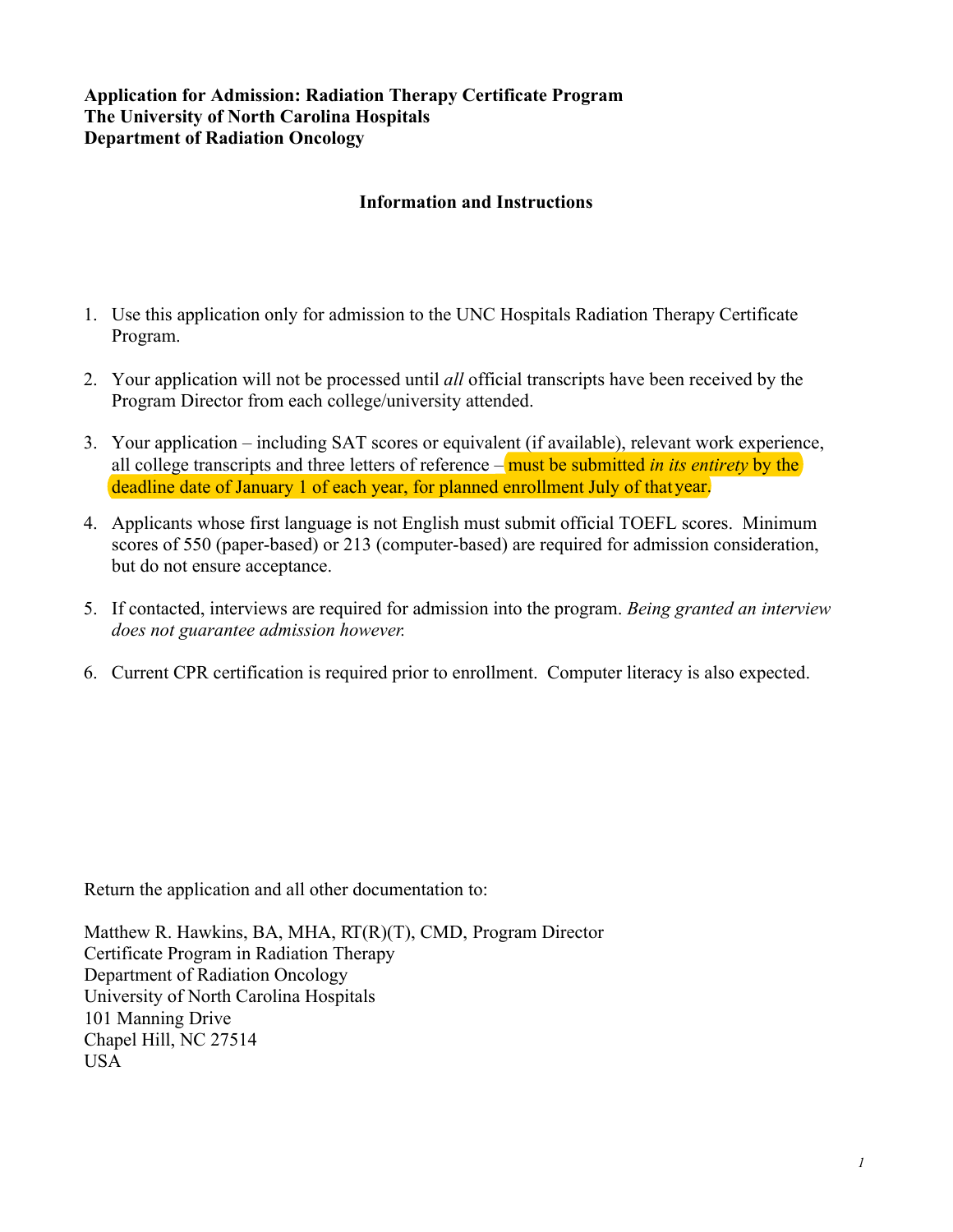#### **Application for Admission: Radiation Therapy Certificate Program The University of North Carolina Hospitals Department of Radiation Oncology**

#### **Information and Instructions**

- 1. Use this application only for admission to the UNC Hospitals Radiation Therapy Certificate Program.
- 2. Your application will not be processed until *all* official transcripts have been received by the Program Director from each college/university attended.
- 3. Your application including SAT scores or equivalent (if available), relevant work experience, all college transcripts and three letters of reference – must be submitted *in its entirety* by the deadline date of January 1 of each year, for planned enrollment July of thatyear.
- 4. Applicants whose first language is not English must submit official TOEFL scores. Minimum scores of 550 (paper-based) or 213 (computer-based) are required for admission consideration, but do not ensure acceptance.
- 5. If contacted, interviews are required for admission into the program. *Being granted an interview does not guarantee admission however.*
- 6. Current CPR certification is required prior to enrollment. Computer literacy is also expected.

Return the application and all other documentation to:

Matthew R. Hawkins, BA, MHA, RT(R)(T), CMD, Program Director Certificate Program in Radiation Therapy Department of Radiation Oncology University of North Carolina Hospitals 101 Manning Drive Chapel Hill, NC 27514 USA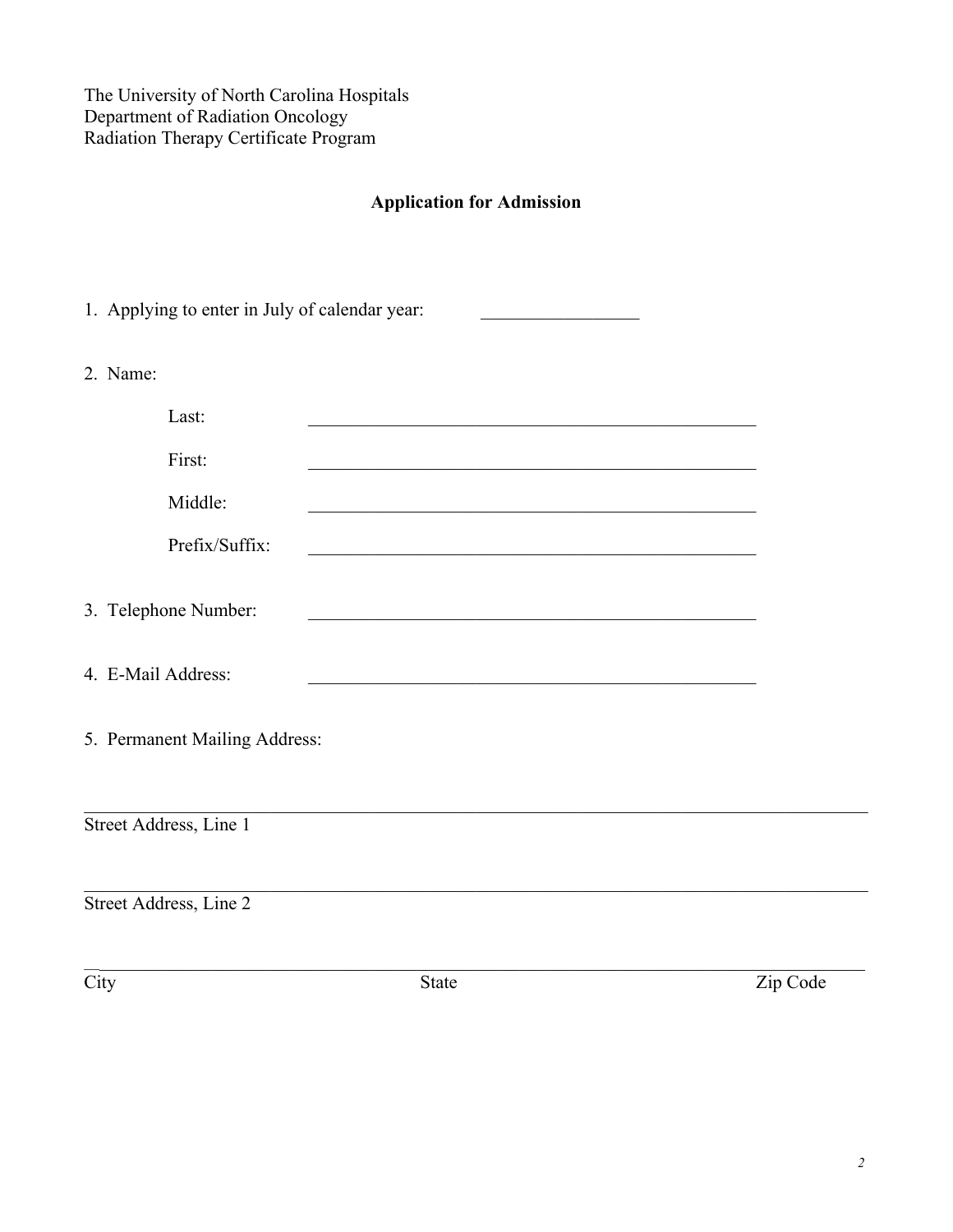The University of North Carolina Hospitals Department of Radiation Oncology Radiation Therapy Certificate Program

### **Application for Admission**

|      | 1. Applying to enter in July of calendar year: |                                                                |          |
|------|------------------------------------------------|----------------------------------------------------------------|----------|
|      | 2. Name:                                       |                                                                |          |
|      | Last:                                          |                                                                |          |
|      | First:                                         |                                                                |          |
|      | Middle:                                        |                                                                |          |
|      | Prefix/Suffix:                                 | <u> 1989 - Johann Barbara, margaret eta idazlea (h. 1989).</u> |          |
|      | 3. Telephone Number:                           |                                                                |          |
|      | 4. E-Mail Address:                             |                                                                |          |
|      | 5. Permanent Mailing Address:                  |                                                                |          |
|      | Street Address, Line 1                         |                                                                |          |
|      | Street Address, Line 2                         |                                                                |          |
| City |                                                | <b>State</b>                                                   | Zip Code |
|      |                                                |                                                                |          |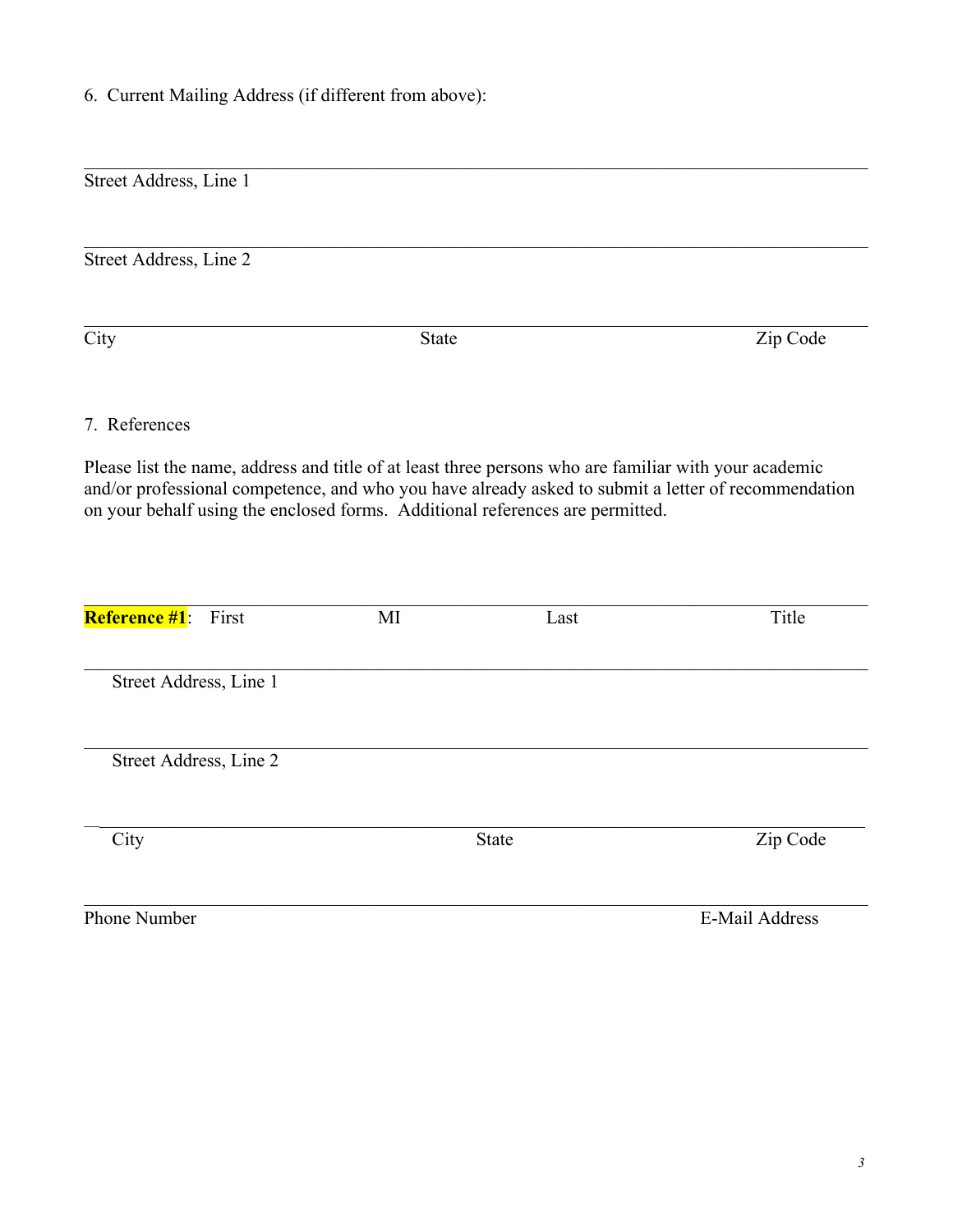6. Current Mailing Address (if different from above):

| Street Address, Line 1      |              |                                                                                                                                                                                        |                                                                                                     |
|-----------------------------|--------------|----------------------------------------------------------------------------------------------------------------------------------------------------------------------------------------|-----------------------------------------------------------------------------------------------------|
| Street Address, Line 2      |              |                                                                                                                                                                                        |                                                                                                     |
| City                        | <b>State</b> |                                                                                                                                                                                        | Zip Code                                                                                            |
| 7. References               |              |                                                                                                                                                                                        |                                                                                                     |
|                             |              | Please list the name, address and title of at least three persons who are familiar with your academic<br>on your behalf using the enclosed forms. Additional references are permitted. | and/or professional competence, and who you have already asked to submit a letter of recommendation |
| <b>Reference #1</b> : First | MI           | Last                                                                                                                                                                                   | Title                                                                                               |
| Street Address, Line 1      |              |                                                                                                                                                                                        |                                                                                                     |
| Street Address, Line 2      |              |                                                                                                                                                                                        |                                                                                                     |
| City                        |              | <b>State</b>                                                                                                                                                                           | Zip Code                                                                                            |
| Phone Number                |              |                                                                                                                                                                                        | <b>E-Mail Address</b>                                                                               |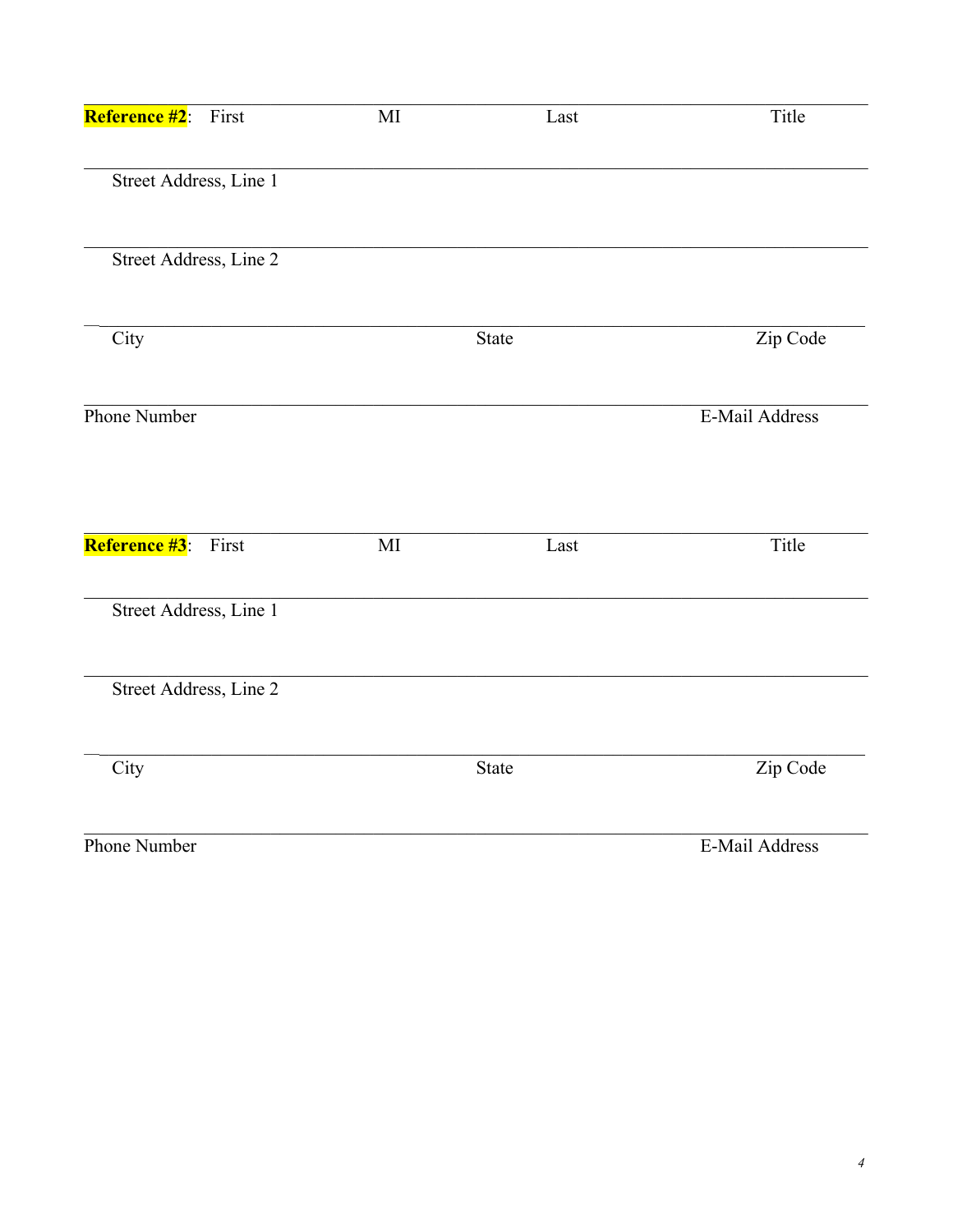| <b>Reference #2</b> :<br>First | $\rm MI$               | Last  | Title          |
|--------------------------------|------------------------|-------|----------------|
| Street Address, Line 1         |                        |       |                |
| Street Address, Line 2         |                        |       |                |
| City                           |                        | State | Zip Code       |
| Phone Number                   |                        |       | E-Mail Address |
| Reference #3: First            | $\mathbf{M}\mathbf{I}$ | Last  | Title          |
| Street Address, Line 1         |                        |       |                |
| Street Address, Line 2         |                        |       |                |
| City                           |                        | State | Zip Code       |
| Phone Number                   |                        |       | E-Mail Address |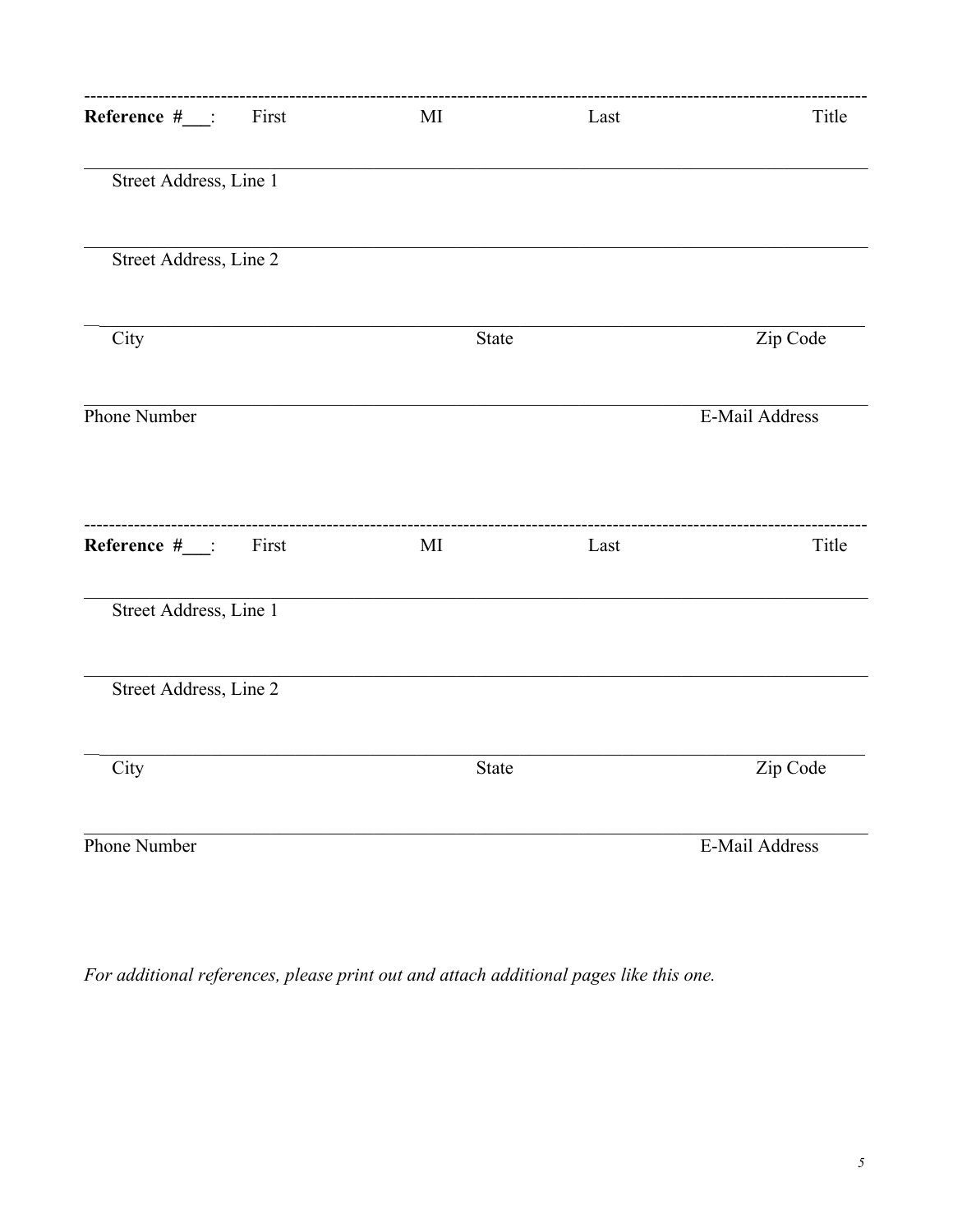| Reference #___: First      | MI           | Last | Title          |
|----------------------------|--------------|------|----------------|
| Street Address, Line 1     |              |      |                |
| Street Address, Line 2     |              |      |                |
| City                       | State        |      | Zip Code       |
| Phone Number               |              |      | E-Mail Address |
| Reference $#$ __:<br>First | MI           | Last | Title          |
| Street Address, Line 1     |              |      |                |
| Street Address, Line 2     |              |      |                |
| City                       | <b>State</b> |      | Zip Code       |
| Phone Number               |              |      | E-Mail Address |

For additional references, please print out and attach additional pages like this one.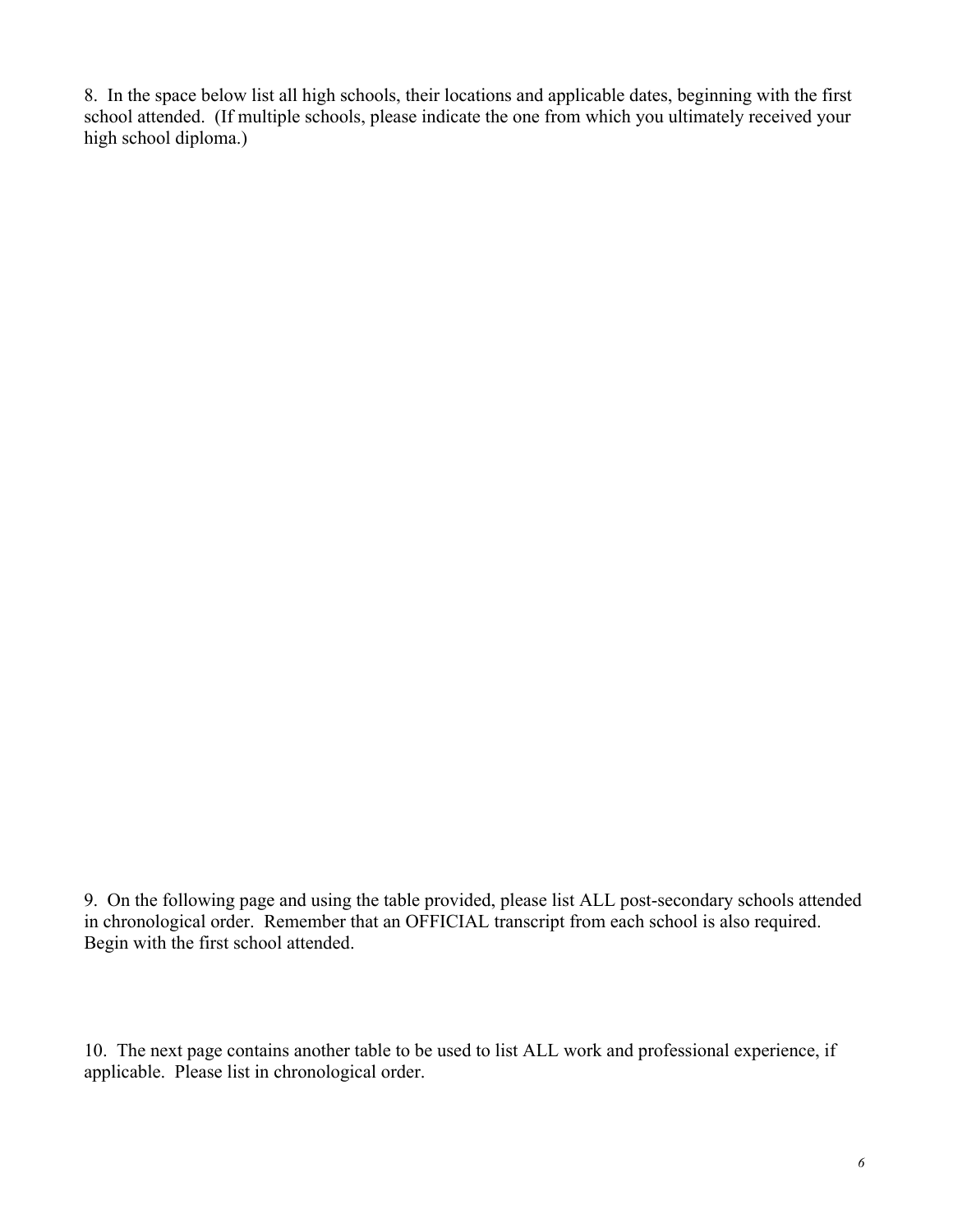8. In the space below list all high schools, their locations and applicable dates, beginning with the first school attended. (If multiple schools, please indicate the one from which you ultimately received your high school diploma.)

9. On the following page and using the table provided, please list ALL post-secondary schools attended in chronological order. Remember that an OFFICIAL transcript from each school is also required. Begin with the first school attended.

10. The next page contains another table to be used to list ALL work and professional experience, if applicable. Please list in chronological order.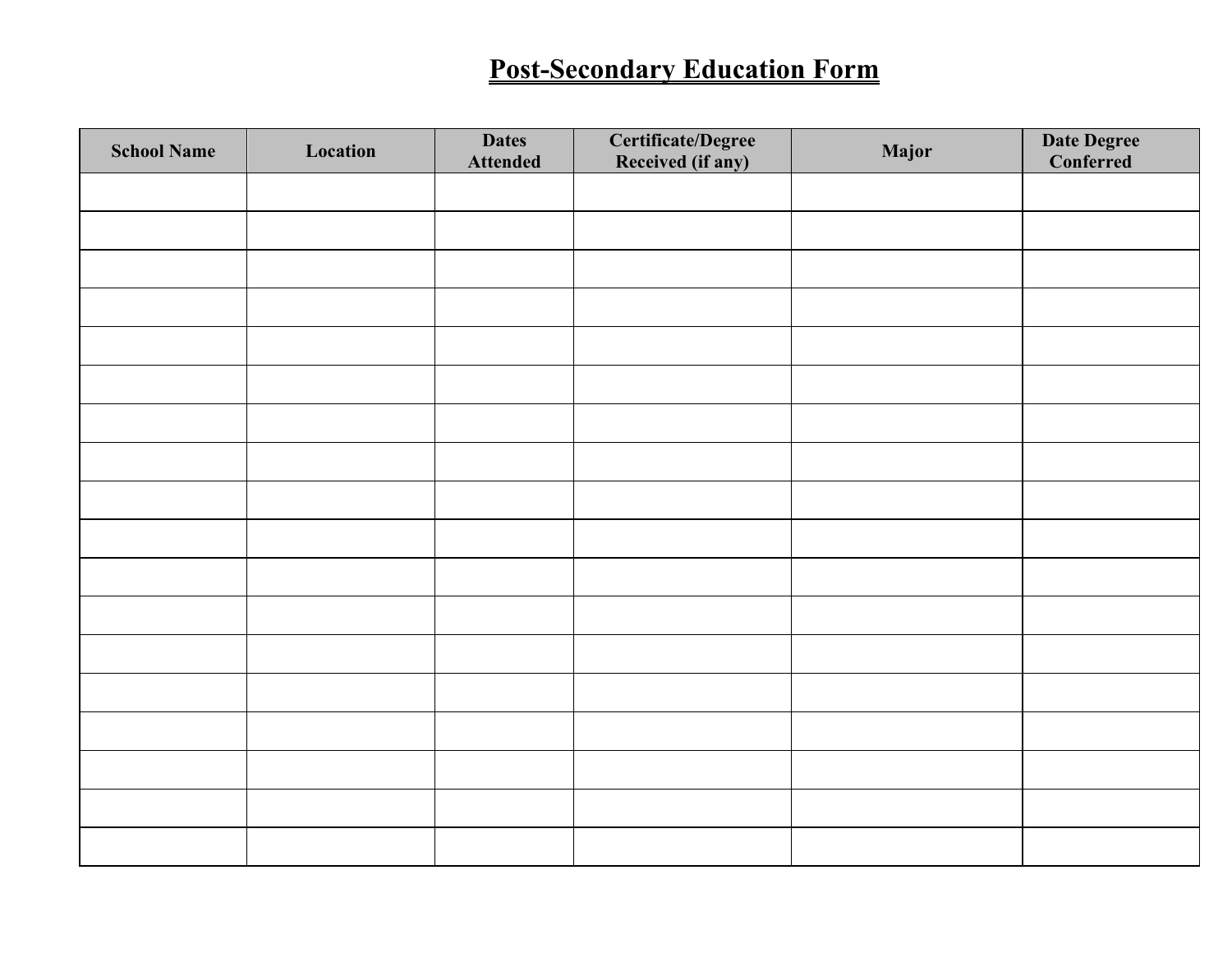# **Post-Secondary Education Form**

| <b>School Name</b> | Location | <b>Dates</b><br><b>Attended</b> | <b>Certificate/Degree</b><br>Received (if any) | Major | <b>Date Degree</b><br>Conferred |
|--------------------|----------|---------------------------------|------------------------------------------------|-------|---------------------------------|
|                    |          |                                 |                                                |       |                                 |
|                    |          |                                 |                                                |       |                                 |
|                    |          |                                 |                                                |       |                                 |
|                    |          |                                 |                                                |       |                                 |
|                    |          |                                 |                                                |       |                                 |
|                    |          |                                 |                                                |       |                                 |
|                    |          |                                 |                                                |       |                                 |
|                    |          |                                 |                                                |       |                                 |
|                    |          |                                 |                                                |       |                                 |
|                    |          |                                 |                                                |       |                                 |
|                    |          |                                 |                                                |       |                                 |
|                    |          |                                 |                                                |       |                                 |
|                    |          |                                 |                                                |       |                                 |
|                    |          |                                 |                                                |       |                                 |
|                    |          |                                 |                                                |       |                                 |
|                    |          |                                 |                                                |       |                                 |
|                    |          |                                 |                                                |       |                                 |
|                    |          |                                 |                                                |       |                                 |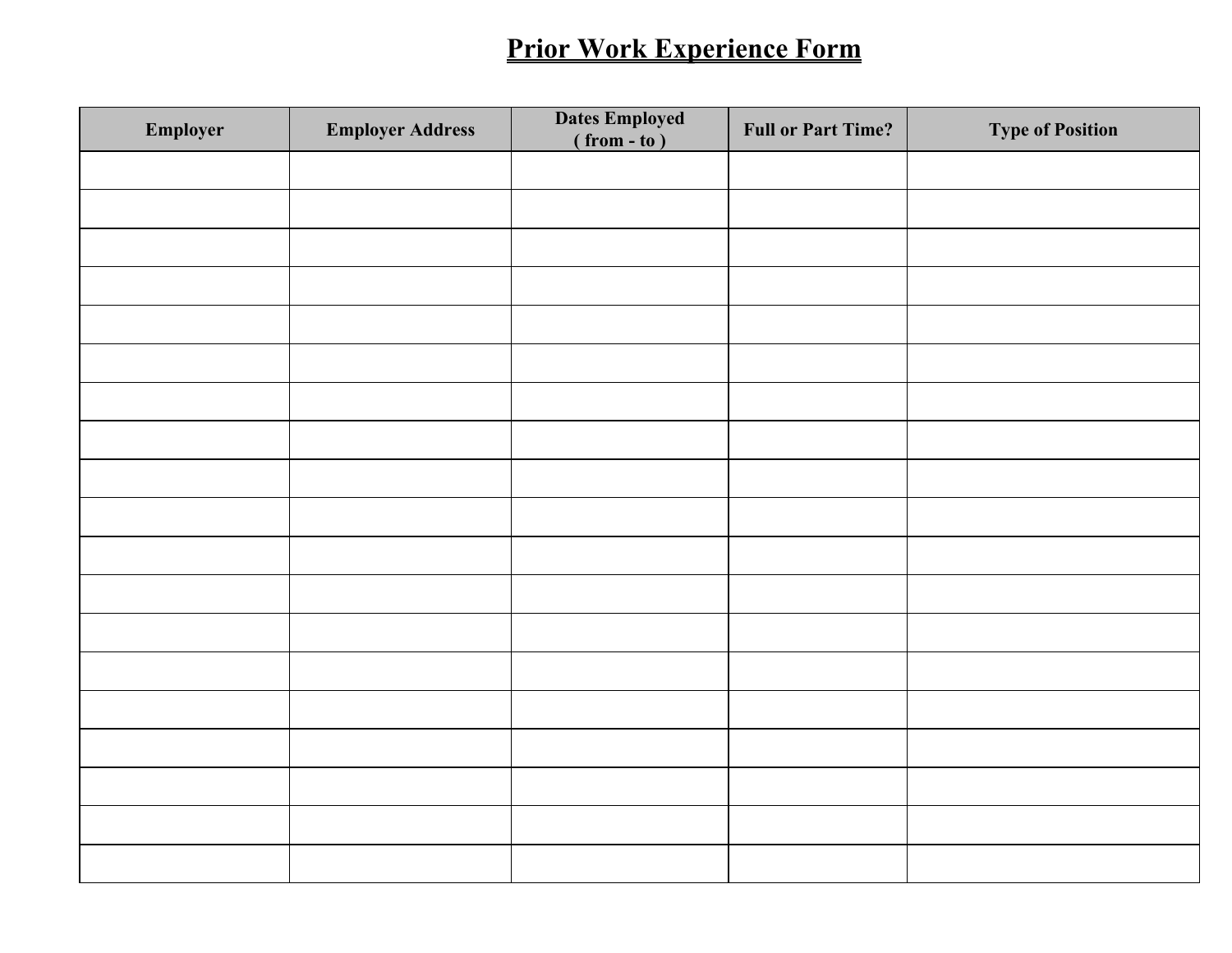## **Prior Work Experience Form**

| Employer | <b>Employer Address</b> | <b>Dates Employed</b><br>$(\text{from} - \text{to})$ | <b>Full or Part Time?</b> | <b>Type of Position</b> |
|----------|-------------------------|------------------------------------------------------|---------------------------|-------------------------|
|          |                         |                                                      |                           |                         |
|          |                         |                                                      |                           |                         |
|          |                         |                                                      |                           |                         |
|          |                         |                                                      |                           |                         |
|          |                         |                                                      |                           |                         |
|          |                         |                                                      |                           |                         |
|          |                         |                                                      |                           |                         |
|          |                         |                                                      |                           |                         |
|          |                         |                                                      |                           |                         |
|          |                         |                                                      |                           |                         |
|          |                         |                                                      |                           |                         |
|          |                         |                                                      |                           |                         |
|          |                         |                                                      |                           |                         |
|          |                         |                                                      |                           |                         |
|          |                         |                                                      |                           |                         |
|          |                         |                                                      |                           |                         |
|          |                         |                                                      |                           |                         |
|          |                         |                                                      |                           |                         |
|          |                         |                                                      |                           |                         |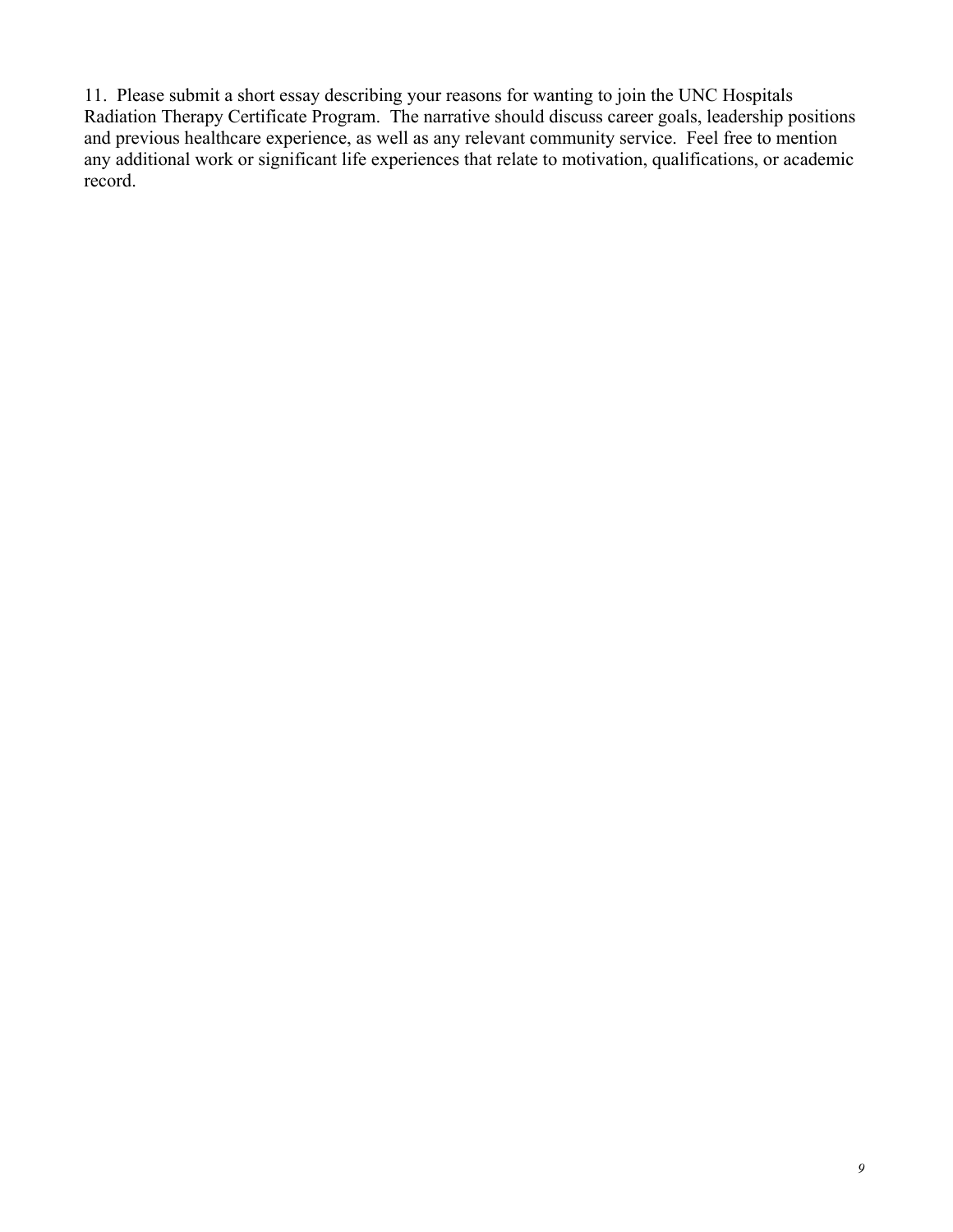11. Please submit a short essay describing your reasons for wanting to join the UNC Hospitals Radiation Therapy Certificate Program. The narrative should discuss career goals, leadership positions and previous healthcare experience, as well as any relevant community service. Feel free to mention any additional work or significant life experiences that relate to motivation, qualifications, or academic record.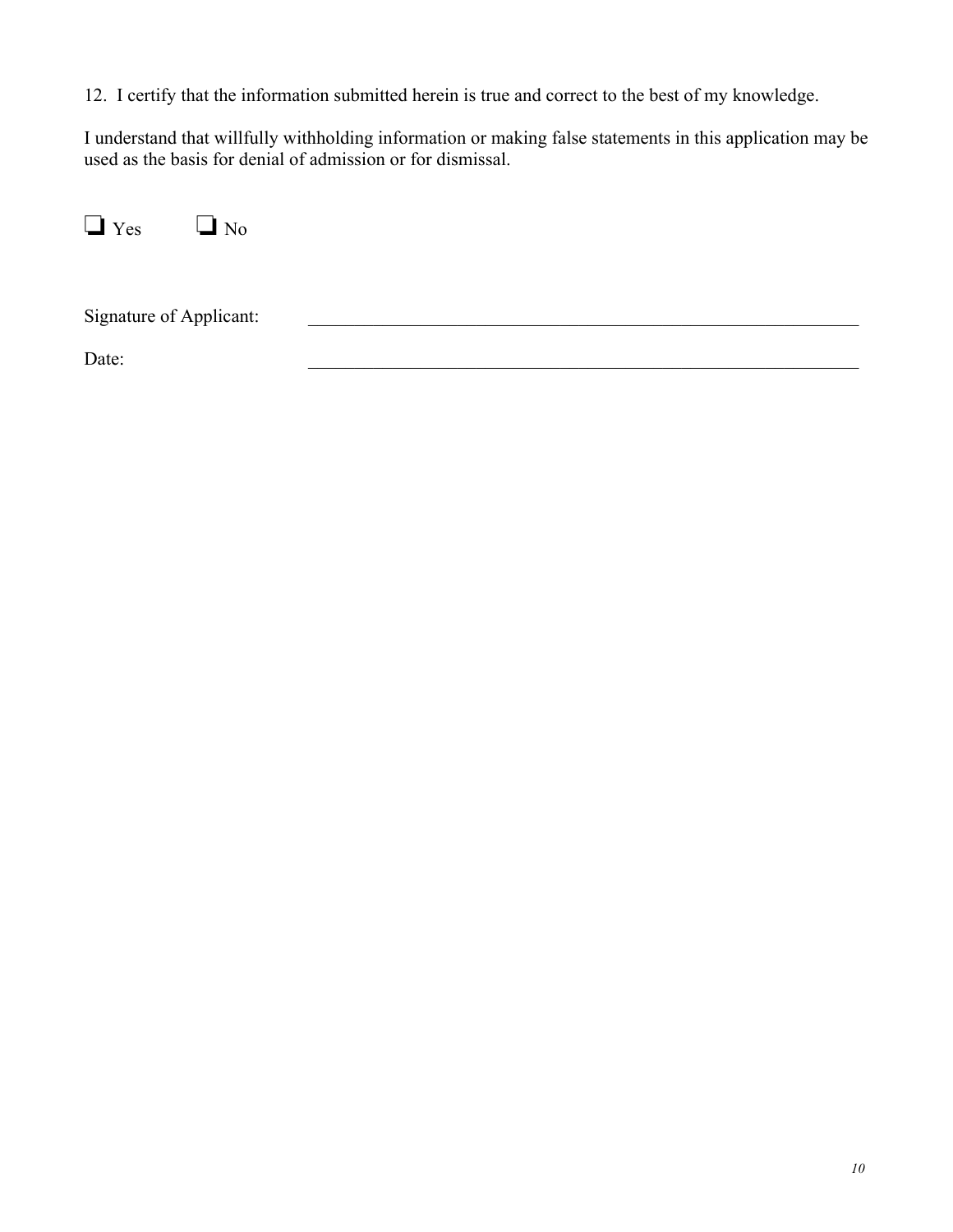12. I certify that the information submitted herein is true and correct to the best of my knowledge.

I understand that willfully withholding information or making false statements in this application may be used as the basis for denial of admission or for dismissal.

❏ Yes ❏ No

Signature of Applicant:  $\Box$ 

Date: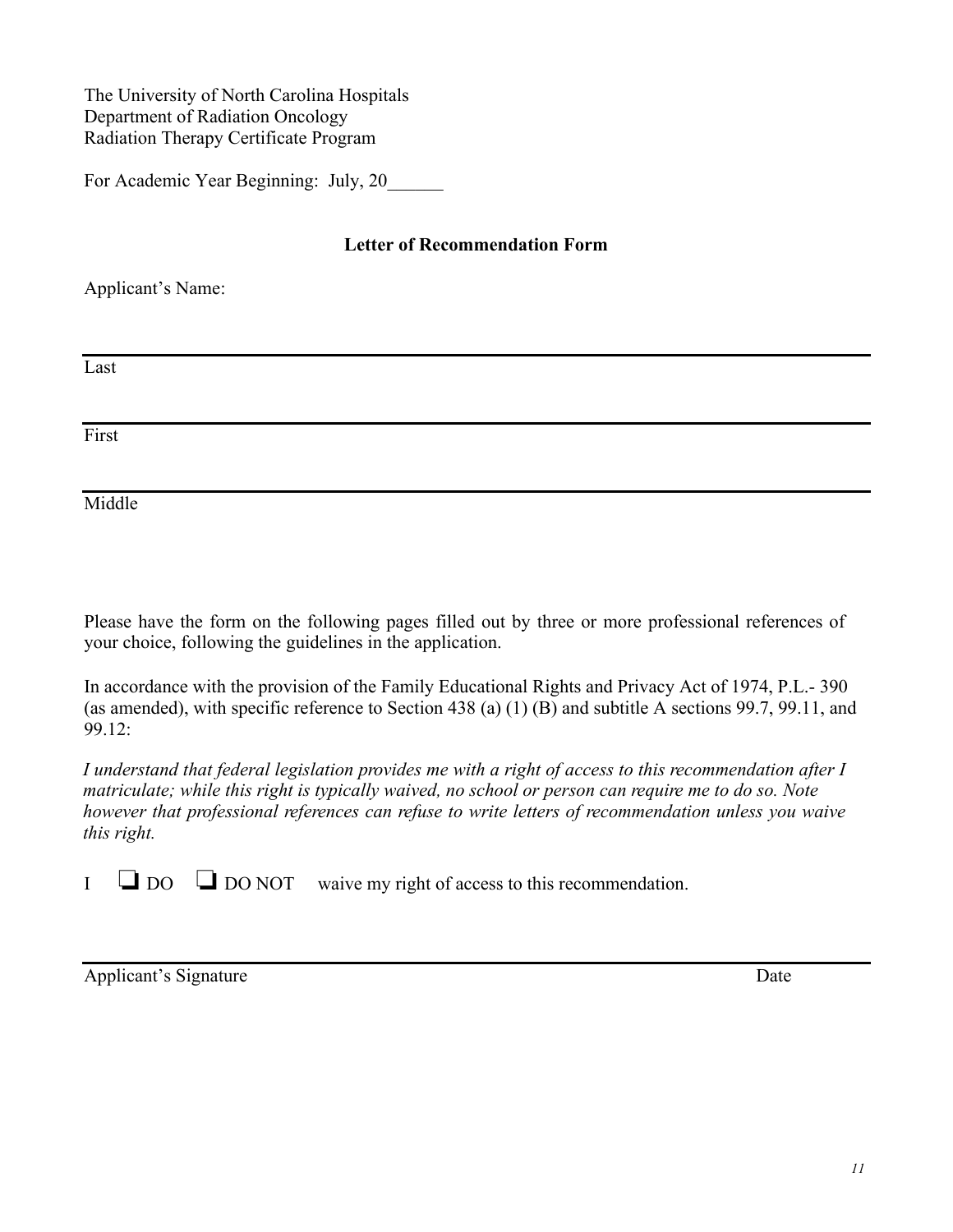#### The University of North Carolina Hospitals Department of Radiation Oncology Radiation Therapy Certificate Program

For Academic Year Beginning: July, 20\_\_\_\_\_\_

#### **Letter of Recommendation Form**

Applicant's Name:

Last

First

Middle

Please have the form on the following pages filled out by three or more professional references of your choice, following the guidelines in the application.

In accordance with the provision of the Family Educational Rights and Privacy Act of 1974, P.L.- 390 (as amended), with specific reference to Section 438 (a) (1) (B) and subtitle A sections 99.7, 99.11, and 99.12:

I understand that federal legislation provides me with a right of access to this recommendation after I  *however that professional references can refuse to write letters of recommendation unless you waive* matriculate; while this right is typically waived, no school or person can require me to do so. Note *this right.*

I  $\Box$  DO  $\Box$  DO NOT waive my right of access to this recommendation.

Applicant's Signature Date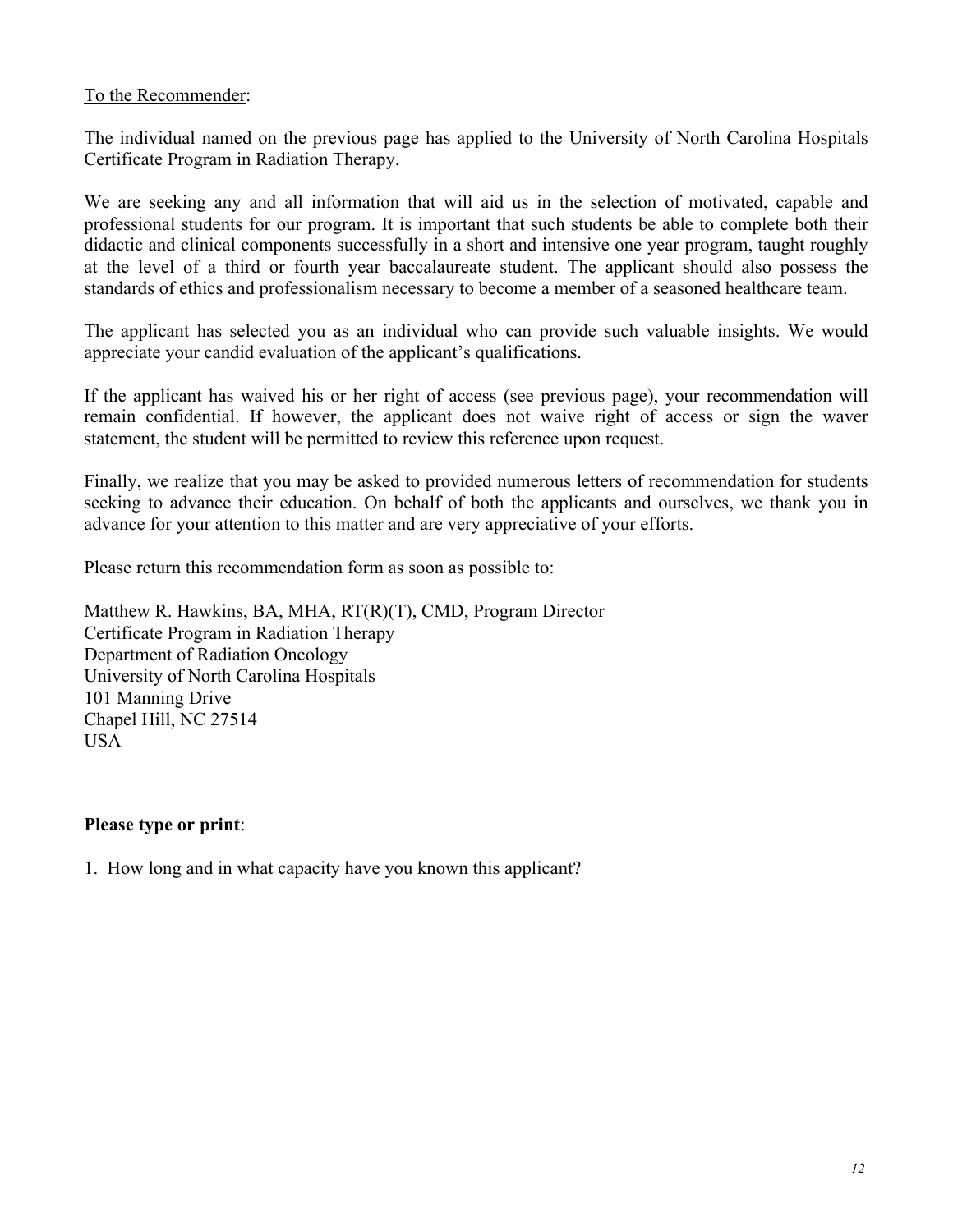#### To the Recommender:

The individual named on the previous page has applied to the University of North Carolina Hospitals Certificate Program in Radiation Therapy.

We are seeking any and all information that will aid us in the selection of motivated, capable and professional students for our program. It is important that such students be able to complete both their didactic and clinical components successfully in a short and intensive one year program, taught roughly at the level of a third or fourth year baccalaureate student. The applicant should also possess the standards of ethics and professionalism necessary to become a member of a seasoned healthcare team.

The applicant has selected you as an individual who can provide such valuable insights. We would appreciate your candid evaluation of the applicant's qualifications.

If the applicant has waived his or her right of access (see previous page), your recommendation will remain confidential. If however, the applicant does not waive right of access or sign the waver statement, the student will be permitted to review this reference upon request.

Finally, we realize that you may be asked to provided numerous letters of recommendation for students seeking to advance their education. On behalf of both the applicants and ourselves, we thank you in advance for your attention to this matter and are very appreciative of your efforts.

Please return this recommendation form as soon as possible to:

Matthew R. Hawkins, BA, MHA, RT(R)(T), CMD, Program Director Certificate Program in Radiation Therapy Department of Radiation Oncology University of North Carolina Hospitals 101 Manning Drive Chapel Hill, NC 27514 USA

#### **Please type or print**:

1. How long and in what capacity have you known this applicant?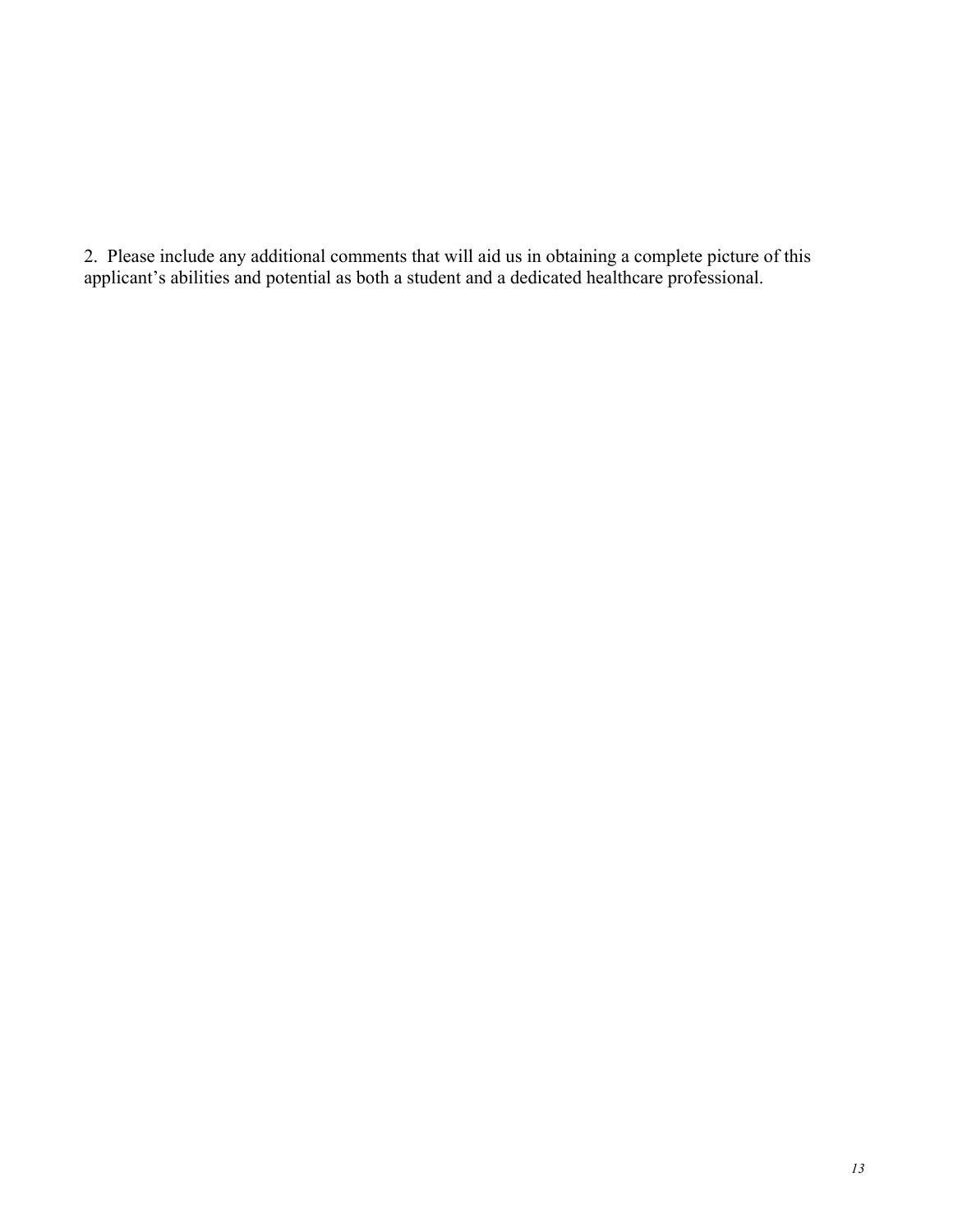2. Please include any additional comments that will aid us in obtaining a complete picture of this applicant's abilities and potential as both a student and a dedicated healthcare professional.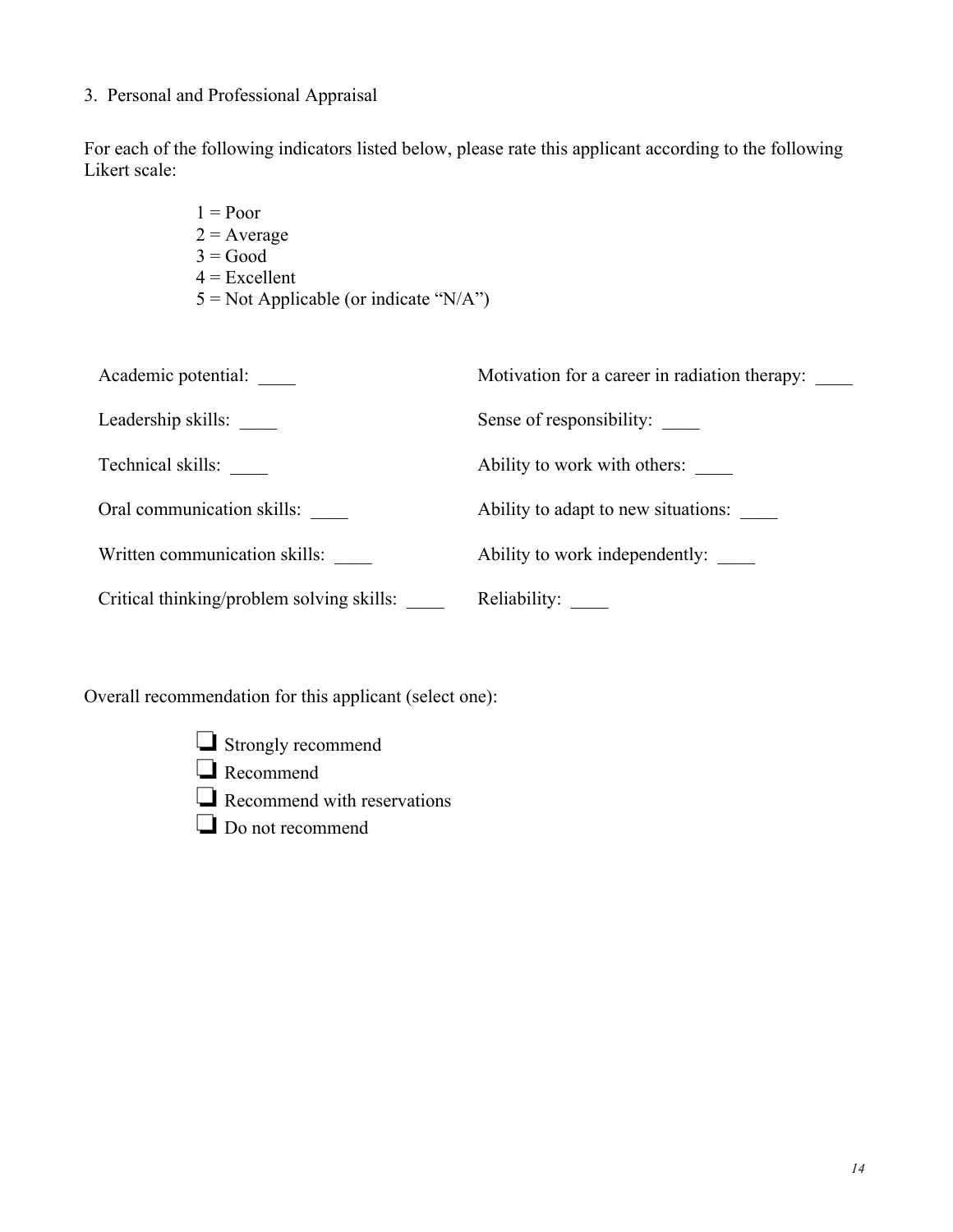#### 3. Personal and Professional Appraisal

For each of the following indicators listed below, please rate this applicant according to the following Likert scale:

> $1 = Poor$  $2 = Average$  $3 = Good$  $4$  = Excellent  $5 = Not Applicable (or indicate "N/A")$

| Academic potential:                       | Motivation for a career in radiation therapy: |
|-------------------------------------------|-----------------------------------------------|
| Leadership skills:                        | Sense of responsibility:                      |
| Technical skills:                         | Ability to work with others:                  |
| Oral communication skills:                | Ability to adapt to new situations:           |
| Written communication skills:             | Ability to work independently:                |
| Critical thinking/problem solving skills: | Reliability:                                  |

Overall recommendation for this applicant (select one):

- ❏ Strongly recommend
- ❏ Recommend
- ❏ Recommend with reservations
- ❏ Do not recommend